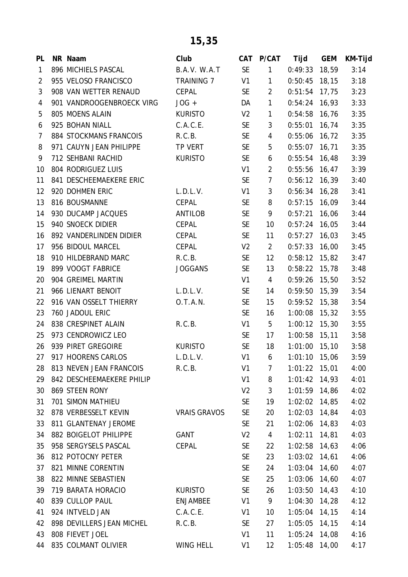| PL           | NR Naam                   | Club                | CAT            | P/CAT          | Tijd            | <b>GEM</b> | KM-Tijd |
|--------------|---------------------------|---------------------|----------------|----------------|-----------------|------------|---------|
| $\mathbf{1}$ | 896 MICHIELS PASCAL       | B.A.V. W.A.T        | <b>SE</b>      | $\mathbf{1}$   | 0:49:33         | 18,59      | 3:14    |
| 2            | 955 VELOSO FRANCISCO      | <b>TRAINING 7</b>   | V1             | $\mathbf{1}$   | 0:50:45         | 18, 15     | 3:18    |
| 3            | 908 VAN WETTER RENAUD     | CEPAL               | <b>SE</b>      | $\overline{2}$ | $0:51:54$ 17,75 |            | 3:23    |
| 4            | 901 VANDROOGENBROECK VIRG | $JOG +$             | DA             | $\mathbf{1}$   | $0:54:24$ 16,93 |            | 3:33    |
| 5            | 805 MOENS ALAIN           | <b>KURISTO</b>      | V <sub>2</sub> | 1              | 0:54:58         | 16,76      | 3:35    |
| 6            | 925 BOHAN NIALL           | C.A.C.E.            | <b>SE</b>      | 3              | 0:55:01         | 16,74      | 3:35    |
| 7            | 884 STOCKMANS FRANCOIS    | R.C.B.              | <b>SE</b>      | 4              | $0:55:06$ 16,72 |            | 3:35    |
| 8            | 971 CAUYN JEAN PHILIPPE   | TP VERT             | <b>SE</b>      | 5              | 0:55:07         | 16, 71     | 3:35    |
| 9            | 712 SEHBANI RACHID        | <b>KURISTO</b>      | <b>SE</b>      | 6              | $0:55:54$ 16,48 |            | 3:39    |
| 10           | 804 RODRIGUEZ LUIS        |                     | V <sub>1</sub> | $\overline{2}$ | $0:55:56$ 16,47 |            | 3:39    |
| 11           | 841 DESCHEEMAEKERE ERIC   |                     | <b>SE</b>      | $\overline{7}$ | 0:56:12         | 16,39      | 3:40    |
| 12           | 920 DOHMEN ERIC           | L.D.L.V.            | V1             | 3              | $0:56:34$ 16,28 |            | 3:41    |
| 13           | 816 BOUSMANNE             | CEPAL               | <b>SE</b>      | 8              | $0:57:15$ 16,09 |            | 3:44    |
| 14           | 930 DUCAMP JACQUES        | <b>ANTILOB</b>      | <b>SE</b>      | 9              | 0:57:21         | 16,06      | 3:44    |
| 15           | 940 SNOECK DIDIER         | <b>CEPAL</b>        | <b>SE</b>      | 10             | $0:57:24$ 16,05 |            | 3:44    |
| 16           | 892 VANDERLINDEN DIDIER   | CEPAL               | <b>SE</b>      | 11             | 0:57:27         | 16,03      | 3:45    |
| 17           | 956 BIDOUL MARCEL         | CEPAL               | V <sub>2</sub> | $\overline{2}$ | $0:57:33$ 16,00 |            | 3:45    |
| 18           | 910 HILDEBRAND MARC       | R.C.B.              | <b>SE</b>      | 12             | $0:58:12$ 15,82 |            | 3:47    |
| 19           | 899 VOOGT FABRICE         | <b>JOGGANS</b>      | <b>SE</b>      | 13             | 0:58:22         | 15,78      | 3:48    |
| 20           | 904 GREIMEL MARTIN        |                     | V1             | $\overline{4}$ | $0:59:26$ 15,50 |            | 3:52    |
| 21           | 966 LIENART BENOIT        | L.D.L.V.            | <b>SE</b>      | 14             | $0:59:50$ 15,39 |            | 3:54    |
| 22           | 916 VAN OSSELT THIERRY    | O.T.A.N.            | <b>SE</b>      | 15             | 0:59:52         | 15,38      | 3:54    |
| 23           | 760 JADOUL ERIC           |                     | <b>SE</b>      | 16             | $1:00:08$ 15,32 |            | 3:55    |
| 24           | 838 CRESPINET ALAIN       | R.C.B.              | V1             | 5              | $1:00:12$ 15,30 |            | 3:55    |
| 25           | 973 CENDROWICZ LEO        |                     | <b>SE</b>      | 17             | 1:00:58 15,11   |            | 3:58    |
| 26           | 939 PIRET GREGOIRE        | <b>KURISTO</b>      | <b>SE</b>      | 18             | $1:01:00$ 15,10 |            | 3:58    |
| 27           | 917 HOORENS CARLOS        | L.D.L.V.            | V <sub>1</sub> | 6              | $1:01:10$ 15,06 |            | 3:59    |
| 28           | 813 NEVEN JEAN FRANCOIS   | R.C.B.              | V <sub>1</sub> | 7              | $1:01:22$ 15,01 |            | 4:00    |
| 29           | 842 DESCHEEMAEKERE PHILIP |                     | V <sub>1</sub> | 8              | $1:01:42$ 14,93 |            | 4:01    |
| 30           | 869 STEEN RONY            |                     | V <sub>2</sub> | 3              | 1:01:59 14,86   |            | 4:02    |
| 31           | 701 SIMON MATHIEU         |                     | <b>SE</b>      | 19             | $1:02:02$ 14,85 |            | 4:02    |
| 32           | 878 VERBESSELT KEVIN      | <b>VRAIS GRAVOS</b> | <b>SE</b>      | 20             | $1:02:03$ 14,84 |            | 4:03    |
| 33           | 811 GLANTENAY JEROME      |                     | <b>SE</b>      | 21             | $1:02:06$ 14,83 |            | 4:03    |
| 34           | 882 BOIGELOT PHILIPPE     | GANT                | V <sub>2</sub> | 4              | 1:02:11         | 14,81      | 4:03    |
| 35           | 958 SERGYSELS PASCAL      | CEPAL               | <b>SE</b>      | 22             | $1:02:58$ 14,63 |            | 4:06    |
| 36           | 812 POTOCNY PETER         |                     | <b>SE</b>      | 23             | $1:03:02$ 14,61 |            | 4:06    |
| 37           | 821 MINNE CORENTIN        |                     | <b>SE</b>      | 24             | $1:03:04$ 14,60 |            | 4:07    |
| 38           | 822 MINNE SEBASTIEN       |                     | <b>SE</b>      | 25             | 1:03:06 14,60   |            | 4:07    |
| 39           | 719 BARATA HORACIO        | <b>KURISTO</b>      | <b>SE</b>      | 26             | $1:03:50$ 14,43 |            | 4:10    |
| 40           | 839 CULLOP PAUL           | <b>ENJAMBEE</b>     | V <sub>1</sub> | 9              | $1:04:30$ 14,28 |            | 4:12    |
| 41           | 924 INTVELD JAN           | C.A.C.E.            | V1             | 10             | 1:05:04         | 14,15      | 4:14    |
| 42           | 898 DEVILLERS JEAN MICHEL | R.C.B.              | <b>SE</b>      | 27             | $1:05:05$ 14,15 |            | 4:14    |
| 43           | 808 FIEVET JOEL           |                     | V <sub>1</sub> | 11             | $1:05:24$ 14,08 |            | 4:16    |
| 44           | 835 COLMANT OLIVIER       | WING HELL           | V1             | 12             | $1:05:48$ 14,00 |            | 4:17    |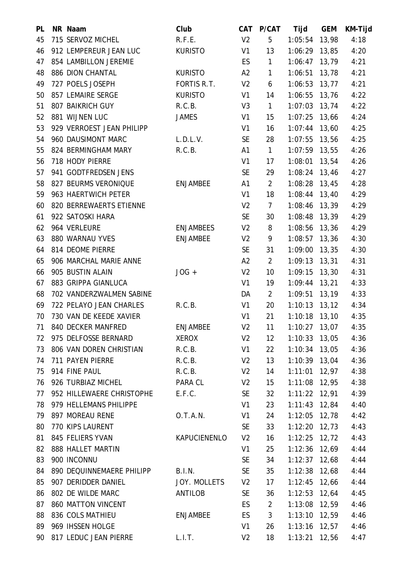| PL | NR Naam                   | Club             | <b>CAT</b>     | P/CAT          | Tijd              | <b>GEM</b> | KM-Tijd |
|----|---------------------------|------------------|----------------|----------------|-------------------|------------|---------|
| 45 | 715 SERVOZ MICHEL         | R.F.E.           | V <sub>2</sub> | 5              | 1:05:54           | 13,98      | 4:18    |
| 46 | 912 LEMPEREUR JEAN LUC    | <b>KURISTO</b>   | V1             | 13             | 1:06:29           | 13,85      | 4:20    |
| 47 | 854 LAMBILLON JEREMIE     |                  | ES.            | $\mathbf{1}$   | 1:06:47           | 13,79      | 4:21    |
| 48 | 886 DION CHANTAL          | <b>KURISTO</b>   | A2             | $\mathbf{1}$   | 1:06:51           | 13,78      | 4:21    |
| 49 | 727 POELS JOSEPH          | FORTIS R.T.      | V <sub>2</sub> | 6              | 1:06:53           | 13, 77     | 4:21    |
| 50 | 857 LEMAIRE SERGE         | <b>KURISTO</b>   | V1             | 14             | 1:06:55           | 13,76      | 4:22    |
| 51 | 807 BAIKRICH GUY          | R.C.B.           | V <sub>3</sub> | $\mathbf{1}$   | $1:07:03$ 13,74   |            | 4:22    |
| 52 | 881 WIJNEN LUC            | <b>JAMES</b>     | V <sub>1</sub> | 15             | 1:07:25           | 13,66      | 4:24    |
| 53 | 929 VERROEST JEAN PHILIPP |                  | V <sub>1</sub> | 16             | $1:07:44$ 13,60   |            | 4:25    |
| 54 | 960 DAUSIMONT MARC        | L.D.L.V.         | <b>SE</b>      | 28             | 1:07:55 13,56     |            | 4:25    |
| 55 | 824 BERMINGHAM MARY       | R.C.B.           | A1             | $\mathbf{1}$   | 1:07:59           | 13,55      | 4:26    |
| 56 | 718 HODY PIERRE           |                  | V1             | 17             | 1:08:01           | 13,54      | 4:26    |
| 57 | 941 GODTFREDSEN JENS      |                  | <b>SE</b>      | 29             | $1:08:24$ 13,46   |            | 4:27    |
| 58 | 827 BEURMS VERONIQUE      | <b>ENJAMBEE</b>  | A1             | 2              | 1:08:28           | 13,45      | 4:28    |
| 59 | 963 HAERTWICH PETER       |                  | V1             | 18             | $1:08:44$ 13,40   |            | 4:29    |
| 60 | 820 BERREWAERTS ETIENNE   |                  | V <sub>2</sub> | $\overline{7}$ | 1:08:46 13,39     |            | 4:29    |
| 61 | 922 SATOSKI HARA          |                  | <b>SE</b>      | 30             | $1:08:48$ 13,39   |            | 4:29    |
| 62 | 964 VERLEURE              | <b>ENJAMBEES</b> | V <sub>2</sub> | 8              | $1:08:56$ 13,36   |            | 4:29    |
| 63 | 880 WARNAU YVES           | <b>ENJAMBEE</b>  | V <sub>2</sub> | 9              | 1:08:57           | 13,36      | 4:30    |
| 64 | 814 DEOME PIERRE          |                  | <b>SE</b>      | 31             | $1:09:00$ 13,35   |            | 4:30    |
| 65 | 906 MARCHAL MARIE ANNE    |                  | A2             | $\overline{2}$ | $1:09:13$ $13,31$ |            | 4:31    |
| 66 | 905 BUSTIN ALAIN          | $JOG +$          | V <sub>2</sub> | 10             | $1:09:15$ 13,30   |            | 4:31    |
| 67 | 883 GRIPPA GIANLUCA       |                  | V1             | 19             | $1:09:44$ 13,21   |            | 4:33    |
| 68 | 702 VANDERZWALMEN SABINE  |                  | DA             | $\overline{2}$ | 1:09:51           | 13,19      | 4:33    |
| 69 | 722 PELAYO JEAN CHARLES   | R.C.B.           | V1             | 20             | $1:10:13$ 13,12   |            | 4:34    |
| 70 | 730 VAN DE KEEDE XAVIER   |                  | V1             | 21             | $1:10:18$ 13,10   |            | 4:35    |
| 71 | 840 DECKER MANFRED        | <b>ENJAMBEE</b>  | V <sub>2</sub> | 11             | 1:10:27           | 13,07      | 4:35    |
| 72 | 975 DELFOSSE BERNARD      | <b>XEROX</b>     | V <sub>2</sub> | 12             | $1:10:33$ 13,05   |            | 4:36    |
| 73 | 806 VAN DOREN CHRISTIAN   | R.C.B.           | V1             | 22             | $1:10:34$ 13,05   |            | 4:36    |
| 74 | 711 PAYEN PIERRE          | R.C.B.           | V <sub>2</sub> | 13             | $1:10:39$ 13,04   |            | 4:36    |
| 75 | 914 FINE PAUL             | R.C.B.           | V <sub>2</sub> | 14             | $1:11:01$ $12,97$ |            | 4:38    |
| 76 | 926 TURBIAZ MICHEL        | PARA CL          | V <sub>2</sub> | 15             | $1:11:08$ 12,95   |            | 4:38    |
| 77 | 952 HILLEWAERE CHRISTOPHE | E.F.C.           | <b>SE</b>      | 32             | $1:11:22$ $12,91$ |            | 4:39    |
| 78 | 979 HELLEMANS PHILIPPE    |                  | V1             | 23             | $1:11:43$ 12,84   |            | 4:40    |
| 79 | 897 MOREAU RENE           | O.T.A.N.         | V1             | 24             | $1:12:05$ 12,78   |            | 4:42    |
| 80 | 770 KIPS LAURENT          |                  | <b>SE</b>      | 33             | $1:12:20$ 12,73   |            | 4:43    |
| 81 | 845 FELIERS YVAN          | KAPUCIENENLO     | V <sub>2</sub> | 16             | $1:12:25$ $12,72$ |            | 4:43    |
| 82 | 888 HALLET MARTIN         |                  | V1             | 25             | $1:12:36$ 12,69   |            | 4:44    |
| 83 | 900 INCONNU               |                  | <b>SE</b>      | 34             | $1:12:37$ 12,68   |            | 4:44    |
| 84 | 890 DEQUINNEMAERE PHILIPP | B.I.N.           | SE.            | 35             | $1:12:38$ 12,68   |            | 4:44    |
| 85 | 907 DERIDDER DANIEL       | JOY. MOLLETS     | V <sub>2</sub> | 17             | $1:12:45$ 12,66   |            | 4:44    |
| 86 | 802 DE WILDE MARC         | ANTILOB          | <b>SE</b>      | 36             | $1:12:53$ 12,64   |            | 4:45    |
| 87 | 860 MATTON VINCENT        |                  | ES.            | $\overline{2}$ | 1:13:08 12,59     |            | 4:46    |
| 88 | 836 COLS MATHIEU          | <b>ENJAMBEE</b>  | <b>ES</b>      | 3              | $1:13:10$ 12,59   |            | 4:46    |
| 89 | 969 IHSSEN HOLGE          |                  | V1             | 26             | $1:13:16$ 12,57   |            | 4:46    |
| 90 | 817 LEDUC JEAN PIERRE     | L.I.T.           | V <sub>2</sub> | 18             | $1:13:21$ 12,56   |            | 4:47    |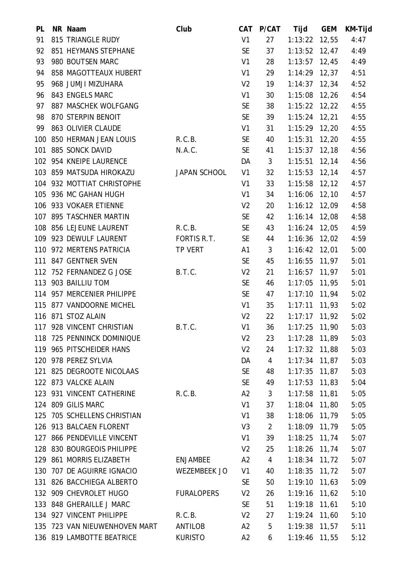| PL  | NR Naam                       | Club              | <b>CAT</b>     | P/CAT          | Tijd            | <b>GEM</b> | KM-Tijd |
|-----|-------------------------------|-------------------|----------------|----------------|-----------------|------------|---------|
| 91  | 815 TRIANGLE RUDY             |                   | V1             | 27             | $1:13:22$ 12,55 |            | 4:47    |
| 92  | 851 HEYMANS STEPHANE          |                   | <b>SE</b>      | 37             | $1:13:52$ 12,47 |            | 4:49    |
| 93  | 980 BOUTSEN MARC              |                   | V1             | 28             | $1:13:57$ 12,45 |            | 4:49    |
| 94  | 858 MAGOTTEAUX HUBERT         |                   | V1             | 29             | $1:14:29$ 12,37 |            | 4:51    |
| 95  | 968 JUMJI MIZUHARA            |                   | V <sub>2</sub> | 19             | $1:14:37$ 12,34 |            | 4:52    |
| 96  | 843 ENGELS MARC               |                   | V1             | 30             | $1:15:08$ 12,26 |            | 4:54    |
| 97  | 887 MASCHEK WOLFGANG          |                   | <b>SE</b>      | 38             | $1:15:22$ 12,22 |            | 4:55    |
| 98  | 870 STERPIN BENOIT            |                   | <b>SE</b>      | 39             | $1:15:24$ 12,21 |            | 4:55    |
| 99  | 863 OLIVIER CLAUDE            |                   | V1             | 31             | $1:15:29$ 12,20 |            | 4:55    |
|     | 100 850 HERMAN JEAN LOUIS     | R.C.B.            | <b>SE</b>      | 40             | $1:15:31$ 12,20 |            | 4:55    |
| 101 | 885 SONCK DAVID               | N.A.C.            | <b>SE</b>      | 41             | $1:15:37$ 12,18 |            | 4:56    |
|     | 102 954 KNEIPE LAURENCE       |                   | DA             | 3              | $1:15:51$ 12,14 |            | 4:56    |
|     | 103 859 MATSUDA HIROKAZU      | JAPAN SCHOOL      | V1             | 32             | $1:15:53$ 12,14 |            | 4:57    |
|     | 104 932 MOTTIAT CHRISTOPHE    |                   | V1             | 33             | $1:15:58$ 12,12 |            | 4:57    |
|     | 105 936 MC GAHAN HUGH         |                   | V1             | 34             | $1:16:06$ 12,10 |            | 4:57    |
|     | 106 933 VOKAER ETIENNE        |                   | V <sub>2</sub> | 20             | $1:16:12$ 12,09 |            | 4:58    |
|     | 107 895 TASCHNER MARTIN       |                   | SE             | 42             | $1:16:14$ 12,08 |            | 4:58    |
|     | 108 856 LEJEUNE LAURENT       | R.C.B.            | <b>SE</b>      | 43             | $1:16:24$ 12,05 |            | 4:59    |
|     | 109 923 DEWULF LAURENT        | FORTIS R.T.       | <b>SE</b>      | 44             | $1:16:36$ 12,02 |            | 4:59    |
|     | 110 972 MERTENS PATRICIA      | TP VERT           | A1             | 3              | $1:16:42$ 12,01 |            | 5:00    |
|     | 111 847 GENTNER SVEN          |                   | <b>SE</b>      | 45             | $1:16:55$ 11,97 |            | 5:01    |
|     | 112 752 FERNANDEZ G JOSE      | B.T.C.            | V <sub>2</sub> | 21             | $1:16:57$ 11,97 |            | 5:01    |
|     | 113 903 BAILLIU TOM           |                   | <b>SE</b>      | 46             | 1:17:05 11,95   |            | 5:01    |
|     | 114 957 MERCENIER PHILIPPE    |                   | <b>SE</b>      | 47             | $1:17:10$ 11,94 |            | 5:02    |
|     | 115 877 VANDOORNE MICHEL      |                   | V1             | 35             | $1:17:11$ 11,93 |            | 5:02    |
|     | 116 871 STOZ ALAIN            |                   | V <sub>2</sub> | 22             | $1:17:17$ 11,92 |            | 5:02    |
|     | 117 928 VINCENT CHRISTIAN     | B.T.C.            | V1             | 36             | 1:17:25         | 11,90      | 5:03    |
|     | 118 725 PENNINCK DOMINIQUE    |                   | V <sub>2</sub> | 23             | $1:17:28$ 11,89 |            | 5:03    |
|     | 119 965 PITSCHEIDER HANS      |                   | V <sub>2</sub> | 24             | $1:17:32$ 11,88 |            | 5:03    |
|     | 120 978 PEREZ SYLVIA          |                   | DA             | 4              | $1:17:34$ 11,87 |            | 5:03    |
|     | 121 825 DEGROOTE NICOLAAS     |                   | <b>SE</b>      | 48             | $1:17:35$ 11,87 |            | 5:03    |
|     | 122 873 VALCKE ALAIN          |                   | <b>SE</b>      | 49             | $1:17:53$ 11,83 |            | 5:04    |
|     | 123 931 VINCENT CATHERINE     | R.C.B.            | A2             | 3              | $1:17:58$ 11,81 |            | 5:05    |
|     | 124 809 GILIS MARC            |                   | V1             | 37             | $1:18:04$ 11,80 |            | 5:05    |
|     | 125 705 SCHELLENS CHRISTIAN   |                   | V1             | 38             | 1:18:06 11,79   |            | 5:05    |
|     | 126 913 BALCAEN FLORENT       |                   | V <sub>3</sub> | 2              | $1:18:09$ 11,79 |            | 5:05    |
|     | 127 866 PENDEVILLE VINCENT    |                   | V1             | 39             | $1:18:25$ 11,74 |            | 5:07    |
|     | 128 830 BOURGEOIS PHILIPPE    |                   | V <sub>2</sub> | 25             | $1:18:26$ 11,74 |            | 5:07    |
|     | 129 861 MORRIS ELIZABETH      | <b>ENJAMBEE</b>   | A2             | $\overline{4}$ | $1:18:34$ 11,72 |            | 5:07    |
|     | 130 707 DE AGUIRRE IGNACIO    | WEZEMBEEK JO      | V1             | 40             | $1:18:35$ 11,72 |            | 5:07    |
|     | 131 826 BACCHIEGA ALBERTO     |                   | <b>SE</b>      | 50             | $1:19:10$ 11,63 |            | 5:09    |
|     | 132 909 CHEVROLET HUGO        | <b>FURALOPERS</b> | V <sub>2</sub> | 26             | $1:19:16$ 11,62 |            | 5:10    |
|     | 133 848 GHERAILLE J MARC      |                   | <b>SE</b>      | 51             | $1:19:18$ 11,61 |            | 5:10    |
|     | 134 927 VINCENT PHILIPPE      | R.C.B.            | V <sub>2</sub> | 27             | $1:19:24$ 11,60 |            | 5:10    |
|     | 135 723 VAN NIEUWENHOVEN MART | ANTILOB           | A2             | 5              | $1:19:38$ 11,57 |            | 5:11    |
|     | 136 819 LAMBOTTE BEATRICE     | <b>KURISTO</b>    | A2             | 6              | 1:19:46 11,55   |            | 5:12    |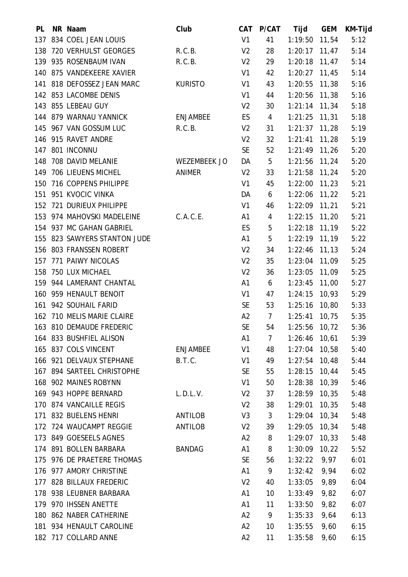| PL  | NR Naam                      | Club            |                | CAT P/CAT       | Tijd            | <b>GEM</b> | KM-Tijd |
|-----|------------------------------|-----------------|----------------|-----------------|-----------------|------------|---------|
| 137 | 834 COEL JEAN LOUIS          |                 | V <sub>1</sub> | 41              | 1:19:50 11,54   |            | 5:12    |
|     | 138 720 VERHULST GEORGES     | R.C.B.          | V <sub>2</sub> | 28              | $1:20:17$ 11,47 |            | 5:14    |
|     | 139 935 ROSENBAUM IVAN       | R.C.B.          | V <sub>2</sub> | 29              | $1:20:18$ 11,47 |            | 5:14    |
|     | 140 875 VANDEKEERE XAVIER    |                 | V <sub>1</sub> | 42              | $1:20:27$ 11,45 |            | 5:14    |
|     | 141 818 DEFOSSEZ JEAN MARC   | <b>KURISTO</b>  | V <sub>1</sub> | 43              | 1:20:55         | 11,38      | 5:16    |
|     | 142 853 LACOMBE DENIS        |                 | V1             | 44              | $1:20:56$ 11,38 |            | 5:16    |
|     | 143 855 LEBEAU GUY           |                 | V <sub>2</sub> | 30              | $1:21:14$ 11,34 |            | 5:18    |
|     | 144 879 WARNAU YANNICK       | <b>ENJAMBEE</b> | ES             | 4               | $1:21:25$ 11,31 |            | 5:18    |
|     | 145 967 VAN GOSSUM LUC       | R.C.B.          | V <sub>2</sub> | 31              | $1:21:37$ 11,28 |            | 5:19    |
|     | 146 915 RAVET ANDRE          |                 | V <sub>2</sub> | 32              | $1:21:41$ 11,28 |            | 5:19    |
|     | 147 801 INCONNU              |                 | <b>SE</b>      | 52              | 1:21:49 11,26   |            | 5:20    |
|     | 148 708 DAVID MELANIE        | WEZEMBEEK JO    | DA             | 5               | $1:21:56$ 11,24 |            | 5:20    |
|     | 149 706 LIEUENS MICHEL       | ANIMER          | V <sub>2</sub> | 33              | $1:21:58$ 11,24 |            | 5:20    |
| 150 | 716 COPPENS PHILIPPE         |                 | V <sub>1</sub> | 45              | $1:22:00$ 11,23 |            | 5:21    |
|     | 151 951 KVOCIC VINKA         |                 | DA             | 6               | $1:22:06$ 11,22 |            | 5:21    |
|     | 152 721 DURIEUX PHILIPPE     |                 | V1             | 46              | $1:22:09$ 11,21 |            | 5:21    |
|     | 153 974 MAHOVSKI MADELEINE   | C.A.C.E.        | A1             | 4               | $1:22:15$ 11,20 |            | 5:21    |
|     | 154 937 MC GAHAN GABRIEL     |                 | ES             | 5               | $1:22:18$ 11,19 |            | 5:22    |
|     | 155 823 SAWYERS STANTON JUDE |                 | A1             | 5               | 1:22:19 11,19   |            | 5:22    |
|     | 156 803 FRANSSEN ROBERT      |                 | V <sub>2</sub> | 34              | $1:22:46$ 11,13 |            | 5:24    |
| 157 | 771 PAIWY NICOLAS            |                 | V <sub>2</sub> | 35              | $1:23:04$ 11,09 |            | 5:25    |
| 158 | 750 LUX MICHAEL              |                 | V <sub>2</sub> | 36              | 1:23:05 11,09   |            | 5:25    |
|     | 159 944 LAMERANT CHANTAL     |                 | A1             | 6               | 1:23:45 11,00   |            | 5:27    |
|     | 160 959 HENAULT BENOIT       |                 | V1             | 47              | $1:24:15$ 10,93 |            | 5:29    |
|     | 161 942 SOUHAIL FARID        |                 | <b>SE</b>      | 53              | $1:25:16$ 10,80 |            | 5:33    |
|     | 162 710 MELIS MARIE CLAIRE   |                 | A2             | $\overline{7}$  | $1:25:41$ 10,75 |            | 5:35    |
|     | 163 810 DEMAUDE FREDERIC     |                 | <b>SE</b>      | 54              | $1:25:56$ 10,72 |            | 5:36    |
|     | 164 833 BUSHFIEL ALISON      |                 | A1             | 7               | $1:26:46$ 10,61 |            | 5:39    |
|     | 165 837 COLS VINCENT         | <b>ENJAMBEE</b> | V1             | 48              | $1:27:04$ 10,58 |            | 5:40    |
|     | 166 921 DELVAUX STEPHANE     | B.T.C.          | V1             | 49              | $1:27:54$ 10,48 |            | 5:44    |
|     | 167 894 SARTEEL CHRISTOPHE   |                 | <b>SE</b>      | 55              | $1:28:15$ 10,44 |            | 5:45    |
|     | 168 902 MAINES ROBYNN        |                 | V <sub>1</sub> | 50              | $1:28:38$ 10,39 |            | 5:46    |
|     | 169 943 HOPPE BERNARD        | L.D.L.V.        | V <sub>2</sub> | 37              | $1:28:59$ 10,35 |            | 5:48    |
|     | 170 874 VANCAILLE REGIS      |                 | V <sub>2</sub> | 38              | 1:29:01         | 10,35      | 5:48    |
|     | 171 832 BUELENS HENRI        | ANTILOB         | V <sub>3</sub> | $\mathfrak{Z}$  | 1:29:04         | 10,34      | 5:48    |
|     | 172 724 WAUCAMPT REGGIE      | ANTILOB         | V <sub>2</sub> | 39              | 1:29:05         | 10,34      | 5:48    |
|     | 173 849 GOESEELS AGNES       |                 | A2             | 8               | 1:29:07         | 10,33      | 5:48    |
|     | 174 891 BOLLEN BARBARA       | <b>BANDAG</b>   | A1             | 8               | 1:30:09         | 10,22      | 5:52    |
|     | 175 976 DE PRAETERE THOMAS   |                 | <b>SE</b>      | 56              | 1:32:22         | 9,97       | 6:01    |
|     | 176 977 AMORY CHRISTINE      |                 | A1             | 9               | 1:32:42         | 9,94       | 6:02    |
|     | 177 828 BILLAUX FREDERIC     |                 | V <sub>2</sub> | 40              | 1:33:05         | 9,89       | 6:04    |
|     | 178 938 LEUBNER BARBARA      |                 | A1             | 10 <sup>°</sup> | 1:33:49         | 9,82       | 6:07    |
|     | 179 970 IHSSEN ANETTE        |                 | A1             | 11              | 1:33:50         | 9,82       | 6:07    |
|     | 180 862 NABER CATHERINE      |                 | A2             | 9               | 1:35:33         | 9,64       | 6:13    |
|     | 181 934 HENAULT CAROLINE     |                 | A2             | 10 <sup>°</sup> | 1:35:55         | 9,60       | 6:15    |
|     | 182 717 COLLARD ANNE         |                 | A2             | 11              | 1:35:58         | 9,60       | 6:15    |